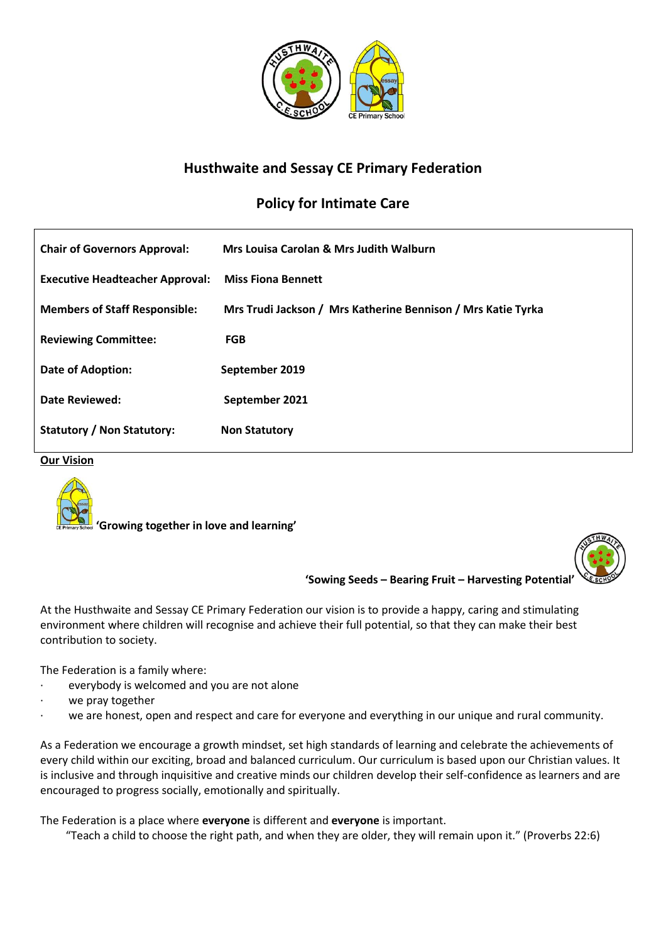

# **Husthwaite and Sessay CE Primary Federation**

# **Policy for Intimate Care**

| <b>Chair of Governors Approval:</b>    | Mrs Louisa Carolan & Mrs Judith Walburn                      |
|----------------------------------------|--------------------------------------------------------------|
| <b>Executive Headteacher Approval:</b> | <b>Miss Fiona Bennett</b>                                    |
| <b>Members of Staff Responsible:</b>   | Mrs Trudi Jackson / Mrs Katherine Bennison / Mrs Katie Tyrka |
| <b>Reviewing Committee:</b>            | <b>FGB</b>                                                   |
| Date of Adoption:                      | September 2019                                               |
| <b>Date Reviewed:</b>                  | September 2021                                               |
| <b>Statutory / Non Statutory:</b>      | <b>Non Statutory</b>                                         |

**Our Vision**



 **'Growing together in love and learning'**



**'Sowing Seeds – Bearing Fruit – Harvesting Potential'**

At the Husthwaite and Sessay CE Primary Federation our vision is to provide a happy, caring and stimulating environment where children will recognise and achieve their full potential, so that they can make their best contribution to society.

The Federation is a family where:

- everybody is welcomed and you are not alone
- we pray together
- we are honest, open and respect and care for everyone and everything in our unique and rural community.

As a Federation we encourage a growth mindset, set high standards of learning and celebrate the achievements of every child within our exciting, broad and balanced curriculum. Our curriculum is based upon our Christian values. It is inclusive and through inquisitive and creative minds our children develop their self-confidence as learners and are encouraged to progress socially, emotionally and spiritually.

The Federation is a place where **everyone** is different and **everyone** is important.

"Teach a child to choose the right path, and when they are older, they will remain upon it." (Proverbs 22:6)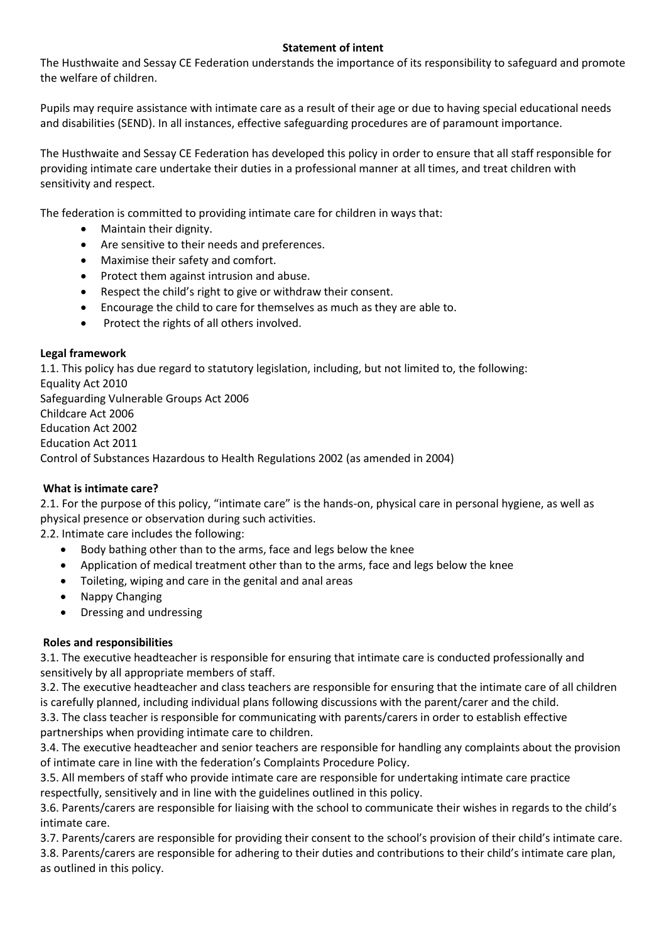## **Statement of intent**

The Husthwaite and Sessay CE Federation understands the importance of its responsibility to safeguard and promote the welfare of children.

Pupils may require assistance with intimate care as a result of their age or due to having special educational needs and disabilities (SEND). In all instances, effective safeguarding procedures are of paramount importance.

The Husthwaite and Sessay CE Federation has developed this policy in order to ensure that all staff responsible for providing intimate care undertake their duties in a professional manner at all times, and treat children with sensitivity and respect.

The federation is committed to providing intimate care for children in ways that:

- Maintain their dignity.
- Are sensitive to their needs and preferences.
- Maximise their safety and comfort.
- Protect them against intrusion and abuse.
- Respect the child's right to give or withdraw their consent.
- Encourage the child to care for themselves as much as they are able to.
- Protect the rights of all others involved.

#### **Legal framework**

1.1. This policy has due regard to statutory legislation, including, but not limited to, the following: Equality Act 2010 Safeguarding Vulnerable Groups Act 2006 Childcare Act 2006 Education Act 2002 Education Act 2011 Control of Substances Hazardous to Health Regulations 2002 (as amended in 2004)

#### **What is intimate care?**

2.1. For the purpose of this policy, "intimate care" is the hands-on, physical care in personal hygiene, as well as physical presence or observation during such activities.

2.2. Intimate care includes the following:

- Body bathing other than to the arms, face and legs below the knee
- Application of medical treatment other than to the arms, face and legs below the knee
- Toileting, wiping and care in the genital and anal areas
- Nappy Changing
- Dressing and undressing

#### **Roles and responsibilities**

3.1. The executive headteacher is responsible for ensuring that intimate care is conducted professionally and sensitively by all appropriate members of staff.

3.2. The executive headteacher and class teachers are responsible for ensuring that the intimate care of all children is carefully planned, including individual plans following discussions with the parent/carer and the child.

3.3. The class teacher is responsible for communicating with parents/carers in order to establish effective partnerships when providing intimate care to children.

3.4. The executive headteacher and senior teachers are responsible for handling any complaints about the provision of intimate care in line with the federation's Complaints Procedure Policy.

3.5. All members of staff who provide intimate care are responsible for undertaking intimate care practice respectfully, sensitively and in line with the guidelines outlined in this policy.

3.6. Parents/carers are responsible for liaising with the school to communicate their wishes in regards to the child's intimate care.

3.7. Parents/carers are responsible for providing their consent to the school's provision of their child's intimate care. 3.8. Parents/carers are responsible for adhering to their duties and contributions to their child's intimate care plan, as outlined in this policy.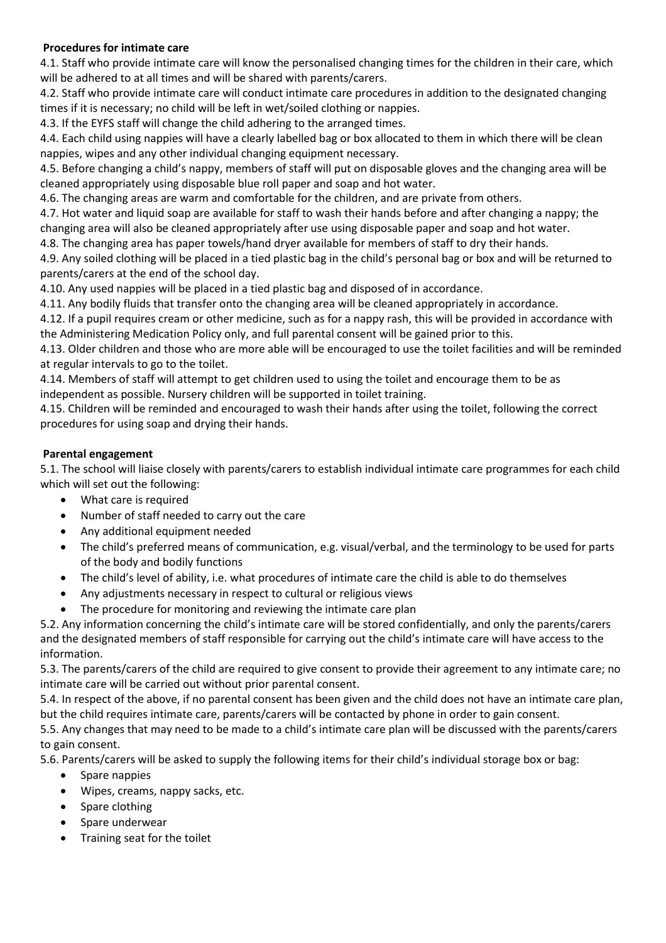## **Procedures for intimate care**

4.1. Staff who provide intimate care will know the personalised changing times for the children in their care, which will be adhered to at all times and will be shared with parents/carers.

4.2. Staff who provide intimate care will conduct intimate care procedures in addition to the designated changing times if it is necessary; no child will be left in wet/soiled clothing or nappies.

4.3. If the EYFS staff will change the child adhering to the arranged times.

4.4. Each child using nappies will have a clearly labelled bag or box allocated to them in which there will be clean nappies, wipes and any other individual changing equipment necessary.

4.5. Before changing a child's nappy, members of staff will put on disposable gloves and the changing area will be cleaned appropriately using disposable blue roll paper and soap and hot water.

4.6. The changing areas are warm and comfortable for the children, and are private from others.

4.7. Hot water and liquid soap are available for staff to wash their hands before and after changing a nappy; the changing area will also be cleaned appropriately after use using disposable paper and soap and hot water.

4.8. The changing area has paper towels/hand dryer available for members of staff to dry their hands.

4.9. Any soiled clothing will be placed in a tied plastic bag in the child's personal bag or box and will be returned to parents/carers at the end of the school day.

4.10. Any used nappies will be placed in a tied plastic bag and disposed of in accordance.

4.11. Any bodily fluids that transfer onto the changing area will be cleaned appropriately in accordance.

4.12. If a pupil requires cream or other medicine, such as for a nappy rash, this will be provided in accordance with the Administering Medication Policy only, and full parental consent will be gained prior to this.

4.13. Older children and those who are more able will be encouraged to use the toilet facilities and will be reminded at regular intervals to go to the toilet.

4.14. Members of staff will attempt to get children used to using the toilet and encourage them to be as independent as possible. Nursery children will be supported in toilet training.

4.15. Children will be reminded and encouraged to wash their hands after using the toilet, following the correct procedures for using soap and drying their hands.

## **Parental engagement**

5.1. The school will liaise closely with parents/carers to establish individual intimate care programmes for each child which will set out the following:

- What care is required
- Number of staff needed to carry out the care
- Any additional equipment needed
- The child's preferred means of communication, e.g. visual/verbal, and the terminology to be used for parts of the body and bodily functions
- The child's level of ability, i.e. what procedures of intimate care the child is able to do themselves
- Any adjustments necessary in respect to cultural or religious views
- The procedure for monitoring and reviewing the intimate care plan

5.2. Any information concerning the child's intimate care will be stored confidentially, and only the parents/carers and the designated members of staff responsible for carrying out the child's intimate care will have access to the information.

5.3. The parents/carers of the child are required to give consent to provide their agreement to any intimate care; no intimate care will be carried out without prior parental consent.

5.4. In respect of the above, if no parental consent has been given and the child does not have an intimate care plan, but the child requires intimate care, parents/carers will be contacted by phone in order to gain consent.

5.5. Any changes that may need to be made to a child's intimate care plan will be discussed with the parents/carers to gain consent.

5.6. Parents/carers will be asked to supply the following items for their child's individual storage box or bag:

- Spare nappies
- Wipes, creams, nappy sacks, etc.
- Spare clothing
- Spare underwear
- Training seat for the toilet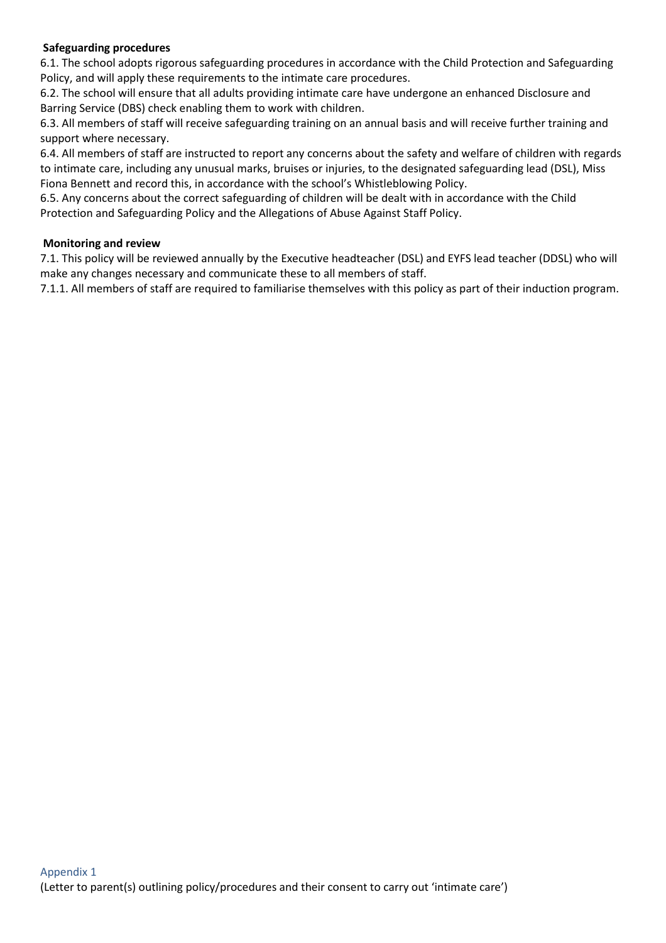## **Safeguarding procedures**

6.1. The school adopts rigorous safeguarding procedures in accordance with the Child Protection and Safeguarding Policy, and will apply these requirements to the intimate care procedures.

6.2. The school will ensure that all adults providing intimate care have undergone an enhanced Disclosure and Barring Service (DBS) check enabling them to work with children.

6.3. All members of staff will receive safeguarding training on an annual basis and will receive further training and support where necessary.

6.4. All members of staff are instructed to report any concerns about the safety and welfare of children with regards to intimate care, including any unusual marks, bruises or injuries, to the designated safeguarding lead (DSL), Miss Fiona Bennett and record this, in accordance with the school's Whistleblowing Policy.

6.5. Any concerns about the correct safeguarding of children will be dealt with in accordance with the Child Protection and Safeguarding Policy and the Allegations of Abuse Against Staff Policy.

#### **Monitoring and review**

7.1. This policy will be reviewed annually by the Executive headteacher (DSL) and EYFS lead teacher (DDSL) who will make any changes necessary and communicate these to all members of staff.

7.1.1. All members of staff are required to familiarise themselves with this policy as part of their induction program.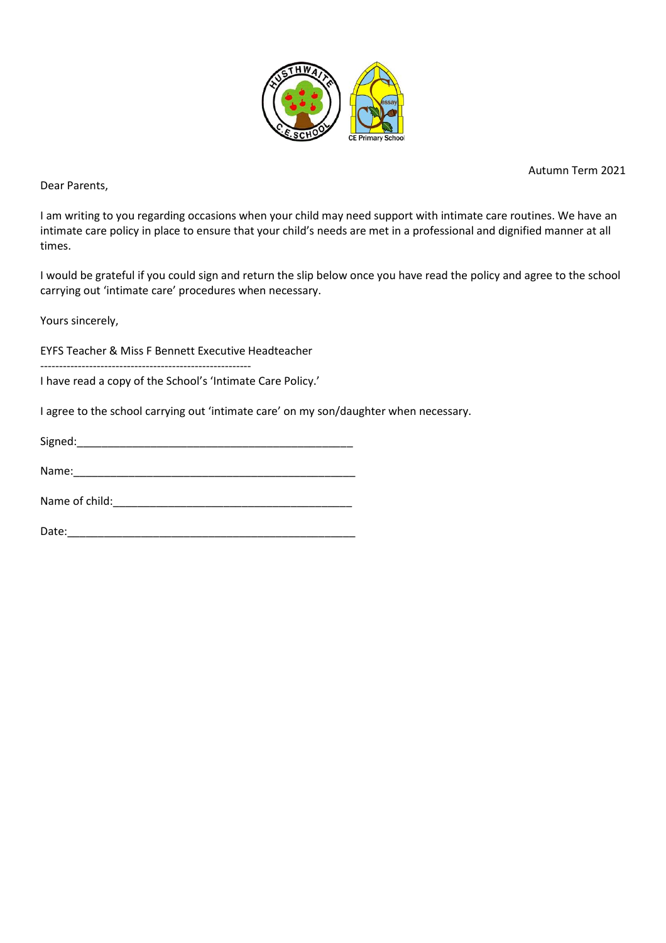

Autumn Term 2021

Dear Parents,

I am writing to you regarding occasions when your child may need support with intimate care routines. We have an intimate care policy in place to ensure that your child's needs are met in a professional and dignified manner at all times.

I would be grateful if you could sign and return the slip below once you have read the policy and agree to the school carrying out 'intimate care' procedures when necessary.

Yours sincerely,

EYFS Teacher & Miss F Bennett Executive Headteacher

--------------------------------------------------------

I have read a copy of the School's 'Intimate Care Policy.'

I agree to the school carrying out 'intimate care' on my son/daughter when necessary.

| Signed: |  |
|---------|--|
|         |  |

Name:

Name of child:\_\_\_\_\_\_\_\_\_\_\_\_\_\_\_\_\_\_\_\_\_\_\_\_\_\_\_\_\_\_\_\_\_\_\_\_\_\_\_

Date:\_\_\_\_\_\_\_\_\_\_\_\_\_\_\_\_\_\_\_\_\_\_\_\_\_\_\_\_\_\_\_\_\_\_\_\_\_\_\_\_\_\_\_\_\_\_\_